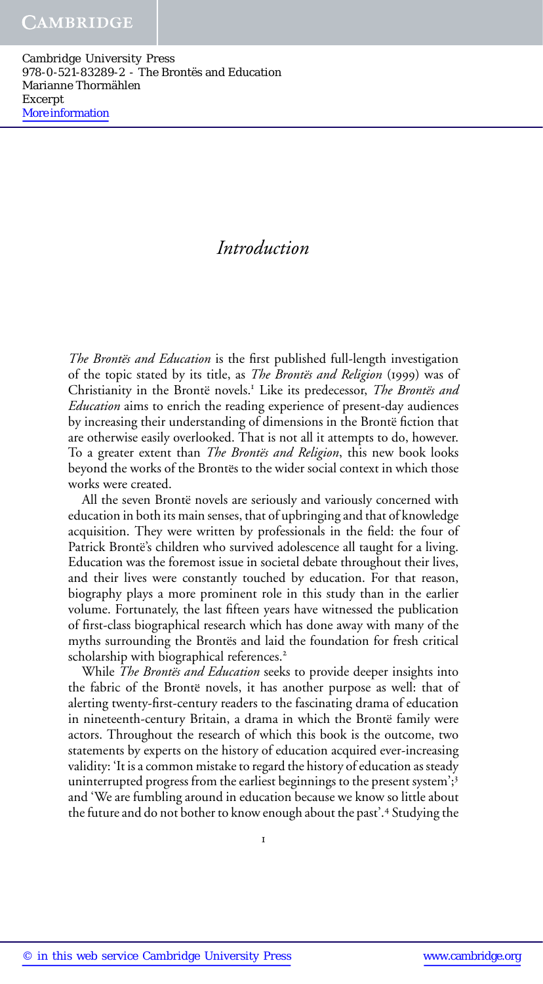# *Introduction*

*The Brontës and Education* is the first published full-length investigation of the topic stated by its title, as *The Brontës and Religion* (1999) was of Christianity in the Brontë novels.<sup>1</sup> Like its predecessor, *The Brontës and Education* aims to enrich the reading experience of present-day audiences by increasing their understanding of dimensions in the Brontë fiction that are otherwise easily overlooked. That is not all it attempts to do, however. To a greater extent than *The Brontës and Religion*, this new book looks beyond the works of the Brontës to the wider social context in which those works were created.

All the seven Brontë novels are seriously and variously concerned with education in both its main senses, that of upbringing and that of knowledge acquisition. They were written by professionals in the field: the four of Patrick Brontë's children who survived adolescence all taught for a living. Education was the foremost issue in societal debate throughout their lives, and their lives were constantly touched by education. For that reason, biography plays a more prominent role in this study than in the earlier volume. Fortunately, the last fifteen years have witnessed the publication of first-class biographical research which has done away with many of the myths surrounding the Brontës and laid the foundation for fresh critical scholarship with biographical references.<sup>2</sup>

While *The Brontës and Education* seeks to provide deeper insights into the fabric of the Brontë novels, it has another purpose as well: that of alerting twenty-first-century readers to the fascinating drama of education in nineteenth-century Britain, a drama in which the Brontë family were actors. Throughout the research of which this book is the outcome, two statements by experts on the history of education acquired ever-increasing validity: 'It is a common mistake to regard the history of education as steady uninterrupted progress from the earliest beginnings to the present system'; $3$ and 'We are fumbling around in education because we know so little about the future and do not bother to know enough about the past'.<sup>4</sup> Studying the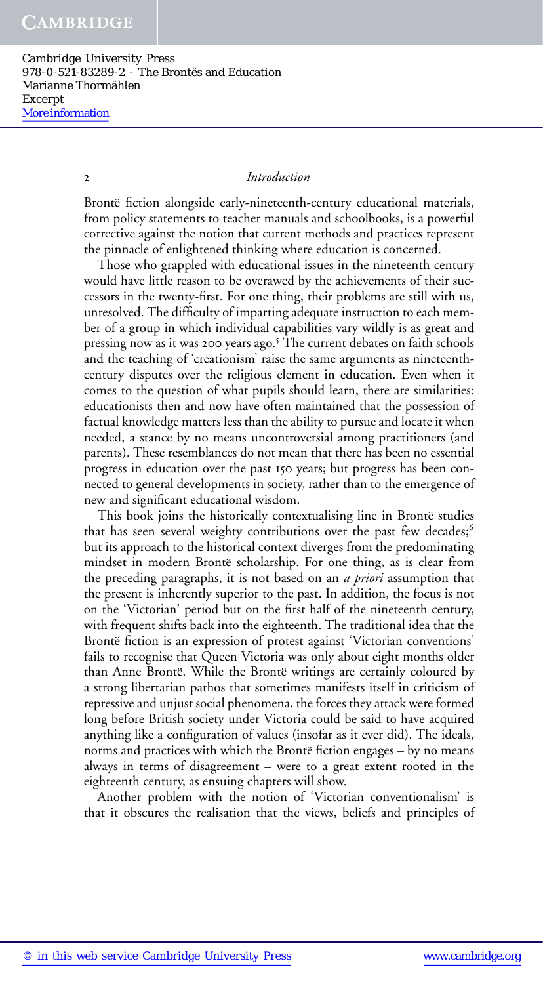## 2 *Introduction*

Brontë fiction alongside early-nineteenth-century educational materials, from policy statements to teacher manuals and schoolbooks, is a powerful corrective against the notion that current methods and practices represent the pinnacle of enlightened thinking where education is concerned.

Those who grappled with educational issues in the nineteenth century would have little reason to be overawed by the achievements of their successors in the twenty-first. For one thing, their problems are still with us, unresolved. The difficulty of imparting adequate instruction to each member of a group in which individual capabilities vary wildly is as great and pressing now as it was 200 years ago.<sup>5</sup> The current debates on faith schools and the teaching of 'creationism' raise the same arguments as nineteenthcentury disputes over the religious element in education. Even when it comes to the question of what pupils should learn, there are similarities: educationists then and now have often maintained that the possession of factual knowledge matters less than the ability to pursue and locate it when needed, a stance by no means uncontroversial among practitioners (and parents). These resemblances do not mean that there has been no essential progress in education over the past 150 years; but progress has been connected to general developments in society, rather than to the emergence of new and significant educational wisdom.

This book joins the historically contextualising line in Brontë studies that has seen several weighty contributions over the past few decades;<sup>6</sup> but its approach to the historical context diverges from the predominating mindset in modern Brontë scholarship. For one thing, as is clear from the preceding paragraphs, it is not based on an *a priori* assumption that the present is inherently superior to the past. In addition, the focus is not on the 'Victorian' period but on the first half of the nineteenth century, with frequent shifts back into the eighteenth. The traditional idea that the Brontë fiction is an expression of protest against 'Victorian conventions' fails to recognise that Queen Victoria was only about eight months older than Anne Brontë. While the Brontë writings are certainly coloured by a strong libertarian pathos that sometimes manifests itself in criticism of repressive and unjust social phenomena, the forces they attack were formed long before British society under Victoria could be said to have acquired anything like a configuration of values (insofar as it ever did). The ideals, norms and practices with which the Brontë fiction engages – by no means always in terms of disagreement – were to a great extent rooted in the eighteenth century, as ensuing chapters will show.

Another problem with the notion of 'Victorian conventionalism' is that it obscures the realisation that the views, beliefs and principles of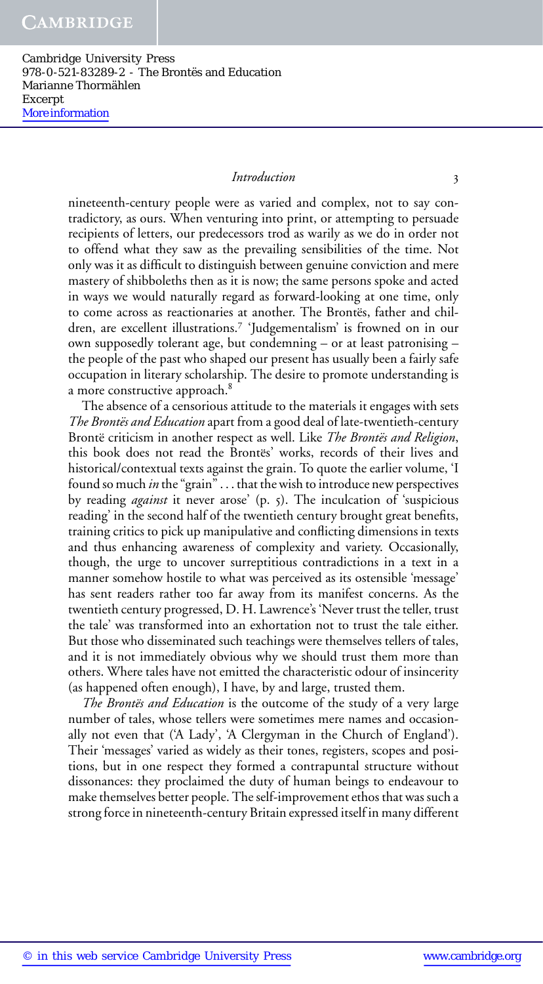## *Introduction* 3

nineteenth-century people were as varied and complex, not to say contradictory, as ours. When venturing into print, or attempting to persuade recipients of letters, our predecessors trod as warily as we do in order not to offend what they saw as the prevailing sensibilities of the time. Not only was it as difficult to distinguish between genuine conviction and mere mastery of shibboleths then as it is now; the same persons spoke and acted in ways we would naturally regard as forward-looking at one time, only to come across as reactionaries at another. The Brontës, father and children, are excellent illustrations.<sup>7</sup> 'Judgementalism' is frowned on in our own supposedly tolerant age, but condemning – or at least patronising – the people of the past who shaped our present has usually been a fairly safe occupation in literary scholarship. The desire to promote understanding is a more constructive approach.<sup>8</sup>

The absence of a censorious attitude to the materials it engages with sets *The Brontës and Education* apart from a good deal of late-twentieth-century Brontë criticism in another respect as well. Like *The Brontës and Religion*, this book does not read the Brontës' works, records of their lives and historical/contextual texts against the grain. To quote the earlier volume, 'I found so much *in* the "grain"... that the wish to introduce new perspectives by reading *against* it never arose' (p. 5). The inculcation of 'suspicious reading' in the second half of the twentieth century brought great benefits, training critics to pick up manipulative and conflicting dimensions in texts and thus enhancing awareness of complexity and variety. Occasionally, though, the urge to uncover surreptitious contradictions in a text in a manner somehow hostile to what was perceived as its ostensible 'message' has sent readers rather too far away from its manifest concerns. As the twentieth century progressed, D. H. Lawrence's 'Never trust the teller, trust the tale' was transformed into an exhortation not to trust the tale either. But those who disseminated such teachings were themselves tellers of tales, and it is not immediately obvious why we should trust them more than others. Where tales have not emitted the characteristic odour of insincerity (as happened often enough), I have, by and large, trusted them.

*The Brontës and Education* is the outcome of the study of a very large number of tales, whose tellers were sometimes mere names and occasionally not even that ('A Lady', 'A Clergyman in the Church of England'). Their 'messages' varied as widely as their tones, registers, scopes and positions, but in one respect they formed a contrapuntal structure without dissonances: they proclaimed the duty of human beings to endeavour to make themselves better people. The self-improvement ethos that was such a strong force in nineteenth-century Britain expressed itself in many different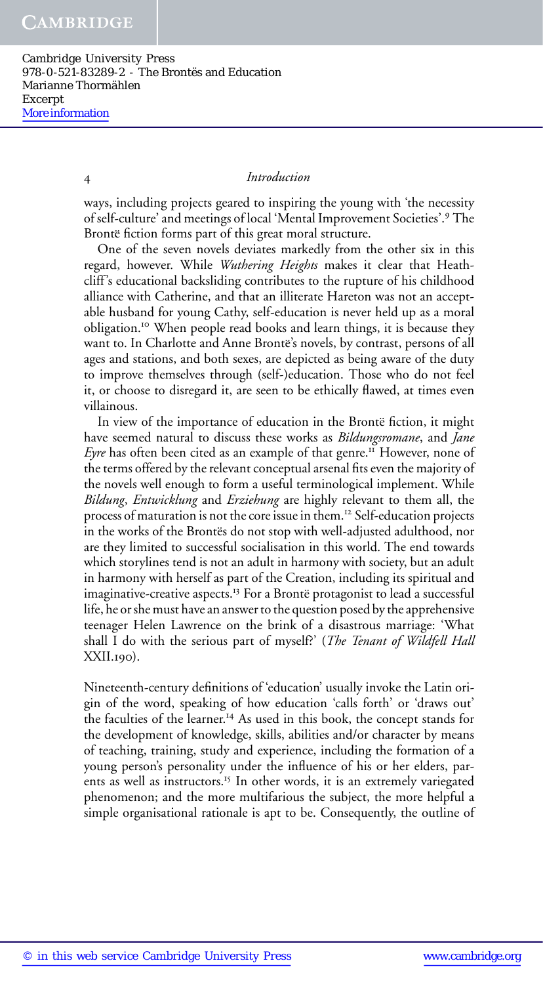## 4 *Introduction*

ways, including projects geared to inspiring the young with 'the necessity of self-culture' and meetings of local 'Mental Improvement Societies'.<sup>9</sup> The Brontë fiction forms part of this great moral structure.

One of the seven novels deviates markedly from the other six in this regard, however. While *Wuthering Heights* makes it clear that Heathcliff's educational backsliding contributes to the rupture of his childhood alliance with Catherine, and that an illiterate Hareton was not an acceptable husband for young Cathy, self-education is never held up as a moral obligation.<sup>10</sup> When people read books and learn things, it is because they want to. In Charlotte and Anne Bronte's novels, by contrast, persons of all ages and stations, and both sexes, are depicted as being aware of the duty to improve themselves through (self-)education. Those who do not feel it, or choose to disregard it, are seen to be ethically flawed, at times even villainous.

In view of the importance of education in the Brontë fiction, it might have seemed natural to discuss these works as *Bildungsromane*, and *Jane Eyre* has often been cited as an example of that genre.<sup>11</sup> However, none of the terms offered by the relevant conceptual arsenal fits even the majority of the novels well enough to form a useful terminological implement. While *Bildung*, *Entwicklung* and *Erziehung* are highly relevant to them all, the process of maturation is not the core issue in them.<sup>12</sup> Self-education projects in the works of the Brontës do not stop with well-adjusted adulthood, nor are they limited to successful socialisation in this world. The end towards which storylines tend is not an adult in harmony with society, but an adult in harmony with herself as part of the Creation, including its spiritual and imaginative-creative aspects.<sup>13</sup> For a Brontë protagonist to lead a successful life, he or she must have an answer to the question posed by the apprehensive teenager Helen Lawrence on the brink of a disastrous marriage: 'What shall I do with the serious part of myself?' (*The Tenant of Wildfell Hall* XXII.190).

Nineteenth-century definitions of 'education' usually invoke the Latin origin of the word, speaking of how education 'calls forth' or 'draws out' the faculties of the learner.<sup>14</sup> As used in this book, the concept stands for the development of knowledge, skills, abilities and/or character by means of teaching, training, study and experience, including the formation of a young person's personality under the influence of his or her elders, parents as well as instructors.<sup>15</sup> In other words, it is an extremely variegated phenomenon; and the more multifarious the subject, the more helpful a simple organisational rationale is apt to be. Consequently, the outline of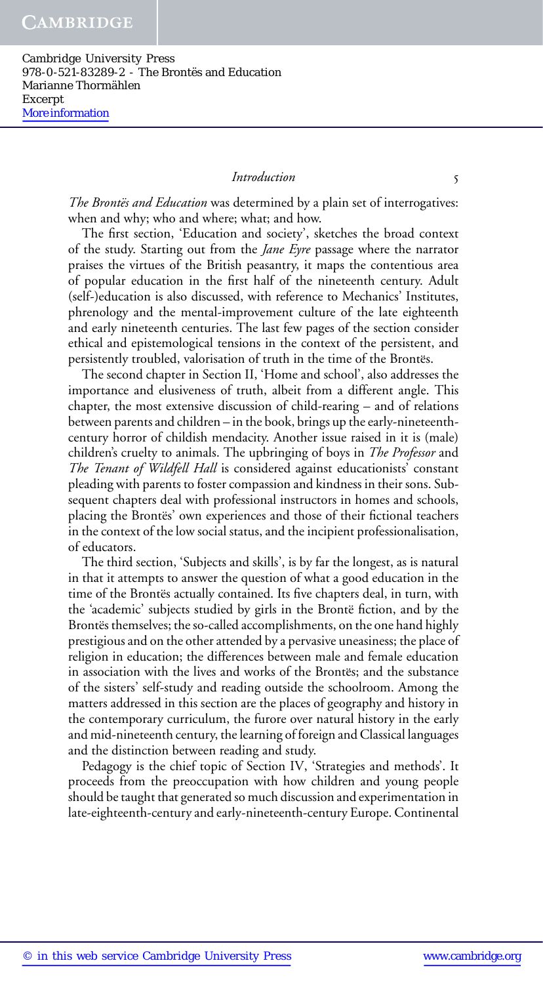## *Introduction* 5

*The Brontës and Education* was determined by a plain set of interrogatives: when and why; who and where; what; and how.

The first section, 'Education and society', sketches the broad context of the study. Starting out from the *Jane Eyre* passage where the narrator praises the virtues of the British peasantry, it maps the contentious area of popular education in the first half of the nineteenth century. Adult (self-)education is also discussed, with reference to Mechanics' Institutes, phrenology and the mental-improvement culture of the late eighteenth and early nineteenth centuries. The last few pages of the section consider ethical and epistemological tensions in the context of the persistent, and persistently troubled, valorisation of truth in the time of the Brontës.

The second chapter in Section II, 'Home and school', also addresses the importance and elusiveness of truth, albeit from a different angle. This chapter, the most extensive discussion of child-rearing – and of relations between parents and children – in the book, brings up the early-nineteenthcentury horror of childish mendacity. Another issue raised in it is (male) children's cruelty to animals. The upbringing of boys in *The Professor* and *The Tenant of Wildfell Hall* is considered against educationists' constant pleading with parents to foster compassion and kindness in their sons. Subsequent chapters deal with professional instructors in homes and schools, placing the Brontës' own experiences and those of their fictional teachers in the context of the low social status, and the incipient professionalisation, of educators.

The third section, 'Subjects and skills', is by far the longest, as is natural in that it attempts to answer the question of what a good education in the time of the Brontës actually contained. Its five chapters deal, in turn, with the 'academic' subjects studied by girls in the Brontë fiction, and by the Brontës themselves; the so-called accomplishments, on the one hand highly prestigious and on the other attended by a pervasive uneasiness; the place of religion in education; the differences between male and female education in association with the lives and works of the Brontës; and the substance of the sisters' self-study and reading outside the schoolroom. Among the matters addressed in this section are the places of geography and history in the contemporary curriculum, the furore over natural history in the early and mid-nineteenth century, the learning of foreign and Classical languages and the distinction between reading and study.

Pedagogy is the chief topic of Section IV, 'Strategies and methods'. It proceeds from the preoccupation with how children and young people should be taught that generated so much discussion and experimentation in late-eighteenth-century and early-nineteenth-century Europe. Continental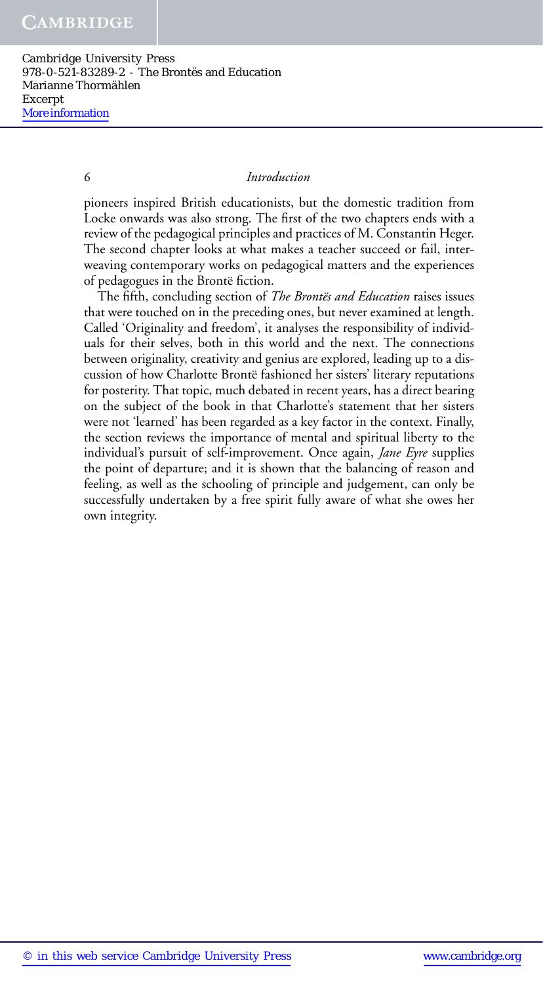#### 6 *Introduction*

pioneers inspired British educationists, but the domestic tradition from Locke onwards was also strong. The first of the two chapters ends with a review of the pedagogical principles and practices of M. Constantin Heger. The second chapter looks at what makes a teacher succeed or fail, interweaving contemporary works on pedagogical matters and the experiences of pedagogues in the Brontë fiction.

The fifth, concluding section of *The Brontës and Education* raises issues that were touched on in the preceding ones, but never examined at length. Called 'Originality and freedom', it analyses the responsibility of individuals for their selves, both in this world and the next. The connections between originality, creativity and genius are explored, leading up to a discussion of how Charlotte Brontë fashioned her sisters' literary reputations for posterity. That topic, much debated in recent years, has a direct bearing on the subject of the book in that Charlotte's statement that her sisters were not 'learned' has been regarded as a key factor in the context. Finally, the section reviews the importance of mental and spiritual liberty to the individual's pursuit of self-improvement. Once again, *Jane Eyre* supplies the point of departure; and it is shown that the balancing of reason and feeling, as well as the schooling of principle and judgement, can only be successfully undertaken by a free spirit fully aware of what she owes her own integrity.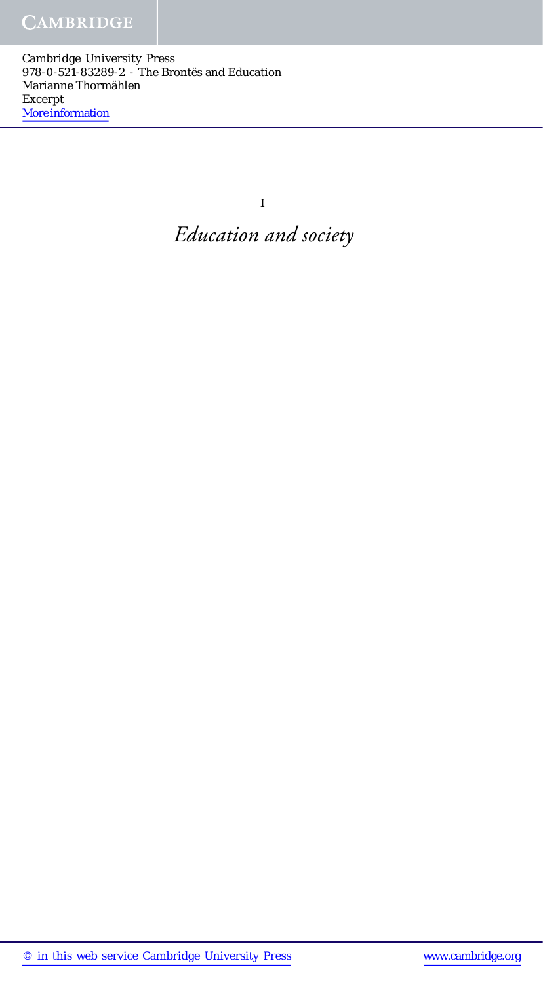i

*Education and society*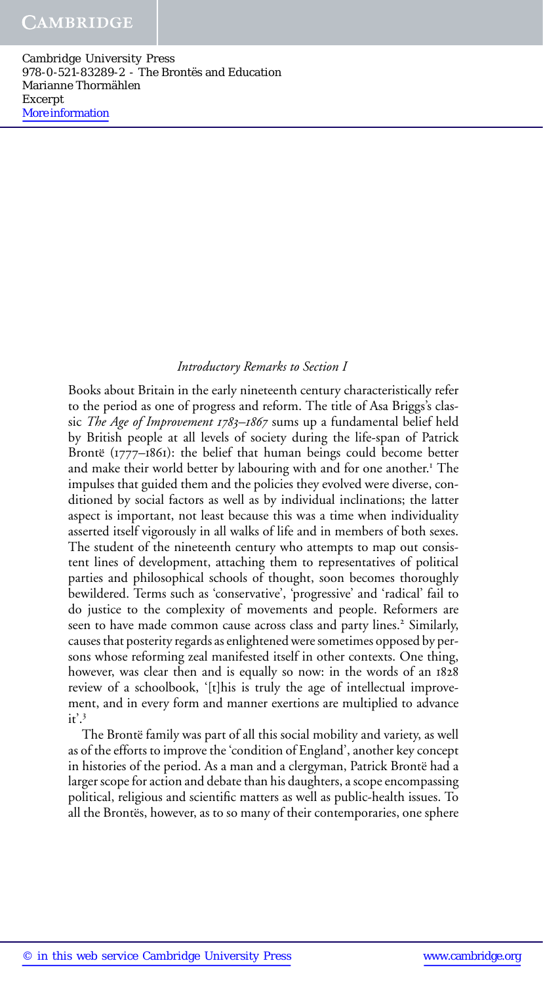#### *Introductory Remarks to Section I*

Books about Britain in the early nineteenth century characteristically refer to the period as one of progress and reform. The title of Asa Briggs's classic *The Age of Improvement 1783–1867* sums up a fundamental belief held by British people at all levels of society during the life-span of Patrick Brontë (1777-1861): the belief that human beings could become better and make their world better by labouring with and for one another.<sup>1</sup> The impulses that guided them and the policies they evolved were diverse, conditioned by social factors as well as by individual inclinations; the latter aspect is important, not least because this was a time when individuality asserted itself vigorously in all walks of life and in members of both sexes. The student of the nineteenth century who attempts to map out consistent lines of development, attaching them to representatives of political parties and philosophical schools of thought, soon becomes thoroughly bewildered. Terms such as 'conservative', 'progressive' and 'radical' fail to do justice to the complexity of movements and people. Reformers are seen to have made common cause across class and party lines.<sup>2</sup> Similarly, causes that posterity regards as enlightened were sometimes opposed by persons whose reforming zeal manifested itself in other contexts. One thing, however, was clear then and is equally so now: in the words of an 1828 review of a schoolbook, '[t]his is truly the age of intellectual improvement, and in every form and manner exertions are multiplied to advance  $it^3$ 

The Brontë family was part of all this social mobility and variety, as well as of the efforts to improve the 'condition of England', another key concept in histories of the period. As a man and a clergyman, Patrick Brontë had a larger scope for action and debate than his daughters, a scope encompassing political, religious and scientific matters as well as public-health issues. To all the Brontës, however, as to so many of their contemporaries, one sphere